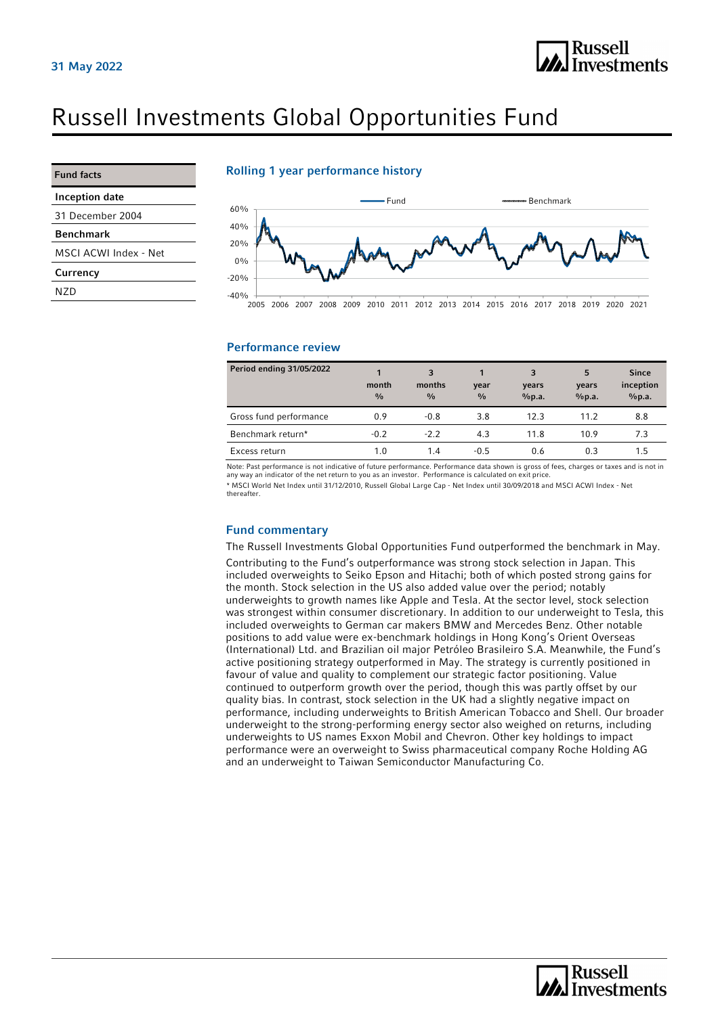

# Russell Investments Global Opportunities Fund

| <b>Fund facts</b>     | Roll         |
|-----------------------|--------------|
| <b>Inception date</b> |              |
| 31 December 2004      | 60%          |
| <b>Benchmark</b>      | 40%          |
| MSCI ACWI Index - Net | 20%<br>$0\%$ |
| Currency              | $-20%$       |
| N7D                   | $-40%$       |

### Rolling 1 year performance history



#### Performance review

| Period ending 31/05/2022 | 1<br>month<br>$\frac{0}{0}$ | 3<br>months<br>$\frac{0}{0}$ | year<br>$\frac{0}{0}$ | 3<br>years<br>%p.a. | 5<br>years<br>%p.a. | <b>Since</b><br>inception<br>%p.a. |
|--------------------------|-----------------------------|------------------------------|-----------------------|---------------------|---------------------|------------------------------------|
| Gross fund performance   | 0.9                         | $-0.8$                       | 3.8                   | 12.3                | 11.2                | 8.8                                |
| Benchmark return*        | $-0.2$                      | $-22$                        | 4.3                   | 11.8                | 10.9                | 7.3                                |
| Excess return            | 1.0                         | 1.4                          | $-0.5$                | 0.6                 | 0.3                 | 1.5                                |

Note: Past performance is not indicative of future performance. Performance data shown is gross of fees, charges or taxes and is not in any way an indicator of the net return to you as an investor. Performance is calculated on exit price. \* MSCI World Net Index until 31/12/2010, Russell Global Large Cap - Net Index until 30/09/2018 and MSCI ACWI Index - Net thereafter.

#### Fund commentary

The Russell Investments Global Opportunities Fund outperformed the benchmark in May.

Contributing to the Fund's outperformance was strong stock selection in Japan. This included overweights to Seiko Epson and Hitachi; both of which posted strong gains for the month. Stock selection in the US also added value over the period; notably underweights to growth names like Apple and Tesla. At the sector level, stock selection was strongest within consumer discretionary. In addition to our underweight to Tesla, this included overweights to German car makers BMW and Mercedes Benz. Other notable positions to add value were ex-benchmark holdings in Hong Kong's Orient Overseas (International) Ltd. and Brazilian oil major Petróleo Brasileiro S.A. Meanwhile, the Fund's active positioning strategy outperformed in May. The strategy is currently positioned in favour of value and quality to complement our strategic factor positioning. Value continued to outperform growth over the period, though this was partly offset by our quality bias. In contrast, stock selection in the UK had a slightly negative impact on performance, including underweights to British American Tobacco and Shell. Our broader underweight to the strong-performing energy sector also weighed on returns, including underweights to US names Exxon Mobil and Chevron. Other key holdings to impact performance were an overweight to Swiss pharmaceutical company Roche Holding AG and an underweight to Taiwan Semiconductor Manufacturing Co.

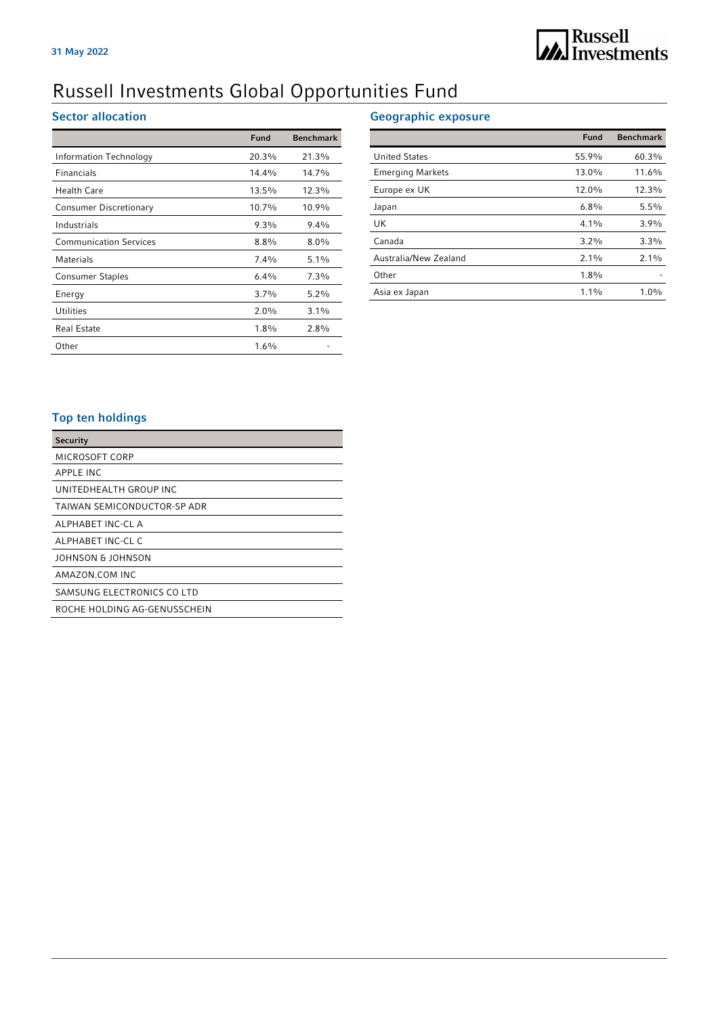## Russell Investments Global Opportunities Fund

## Sector allocation

|                               | <b>Fund</b> | <b>Benchmark</b> |
|-------------------------------|-------------|------------------|
| Information Technology        | 20.3%       | 21.3%            |
| Financials                    | 14.4%       | 14.7%            |
| <b>Health Care</b>            | 13.5%       | 12.3%            |
| Consumer Discretionary        | 10.7%       | 10.9%            |
| Industrials                   | 9.3%        | $9.4\%$          |
| <b>Communication Services</b> | $8.8\%$     | $8.0\%$          |
| Materials                     | $7.4\%$     | $5.1\%$          |
| <b>Consumer Staples</b>       | $6.4\%$     | $7.3\%$          |
| Energy                        | 3.7%        | $5.2\%$          |
| <b>Utilities</b>              | $2.0\%$     | $3.1\%$          |
| <b>Real Estate</b>            | $1.8\%$     | $2.8\%$          |
| Other                         | $1.6\%$     |                  |

## Geographic exposure

|                         | Fund    | <b>Benchmark</b> |
|-------------------------|---------|------------------|
| <b>United States</b>    | 55.9%   | 60.3%            |
| <b>Emerging Markets</b> | 13.0%   | 11.6%            |
| Europe ex UK            | 12.0%   | 12.3%            |
| Japan                   | $6.8\%$ | 5.5%             |
| UK                      | $4.1\%$ | 3.9%             |
| Canada                  | $3.2\%$ | 3.3%             |
| Australia/New Zealand   | $2.1\%$ | $2.1\%$          |
| Other                   | $1.8\%$ |                  |
| Asia ex Japan           | $1.1\%$ | $1.0\%$          |

## Top ten holdings

| <b>Security</b>              |
|------------------------------|
| MICROSOFT CORP               |
| APPLE INC                    |
| UNITEDHEALTH GROUP INC       |
| TAIWAN SEMICONDUCTOR-SP ADR  |
| ALPHABET INC-CL A            |
| ALPHABET INC-CL C            |
| JOHNSON & JOHNSON            |
| AMAZON COM INC               |
| SAMSUNG ELECTRONICS CO LTD   |
| ROCHE HOLDING AG-GENUSSCHEIN |
|                              |